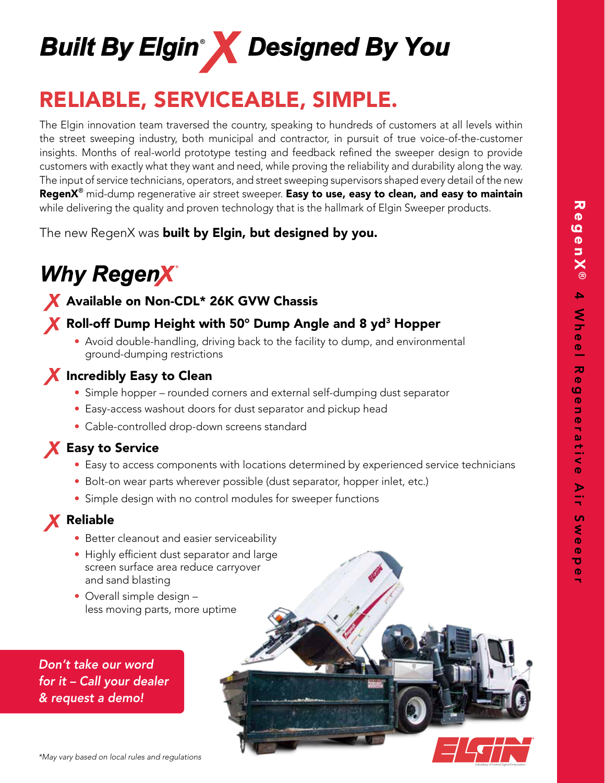r



# RELIABLE, SERVICEABLE, SIMPLE.

The Elgin innovation team traversed the country, speaking to hundreds of customers at all levels within the street sweeping industry, both municipal and contractor, in pursuit of true voice-of-the-customer insights. Months of real-world prototype testing and feedback refined the sweeper design to provide customers with exactly what they want and need, while proving the reliability and durability along the way. The input of service technicians, operators, and street sweeping supervisors shaped every detail of the new RegenX<sup>®</sup> mid-dump regenerative air street sweeper. Easy to use, easy to clean, and easy to maintain while delivering the quality and proven technology that is the hallmark of Elgin Sweeper products.

The new RegenX was **built by Elgin, but designed by you.** 

# **Why RegenX**

# X Available on Non-CDL\* 26K GVW Chassis

# X Roll-off Dump Height with 50° Dump Angle and 8 yd<sup>3</sup> Hopper

 • Avoid double-handling, driving back to the facility to dump, and environmental ground-dumping restrictions



- Simple hopper rounded corners and external self-dumping dust separator
- Easy-access washout doors for dust separator and pickup head
- Cable-controlled drop-down screens standard

# **X** Easy to Service

- Easy to access components with locations determined by experienced service technicians
- Bolt-on wear parts wherever possible (dust separator, hopper inlet, etc.)
- Simple design with no control modules for sweeper functions

# **X** Reliable

- Better cleanout and easier serviceability
- Highly efficient dust separator and large screen surface area reduce carryover and sand blasting
- Overall simple design less moving parts, more uptime

*Don't take our word for it – Call your dealer & request a demo!*